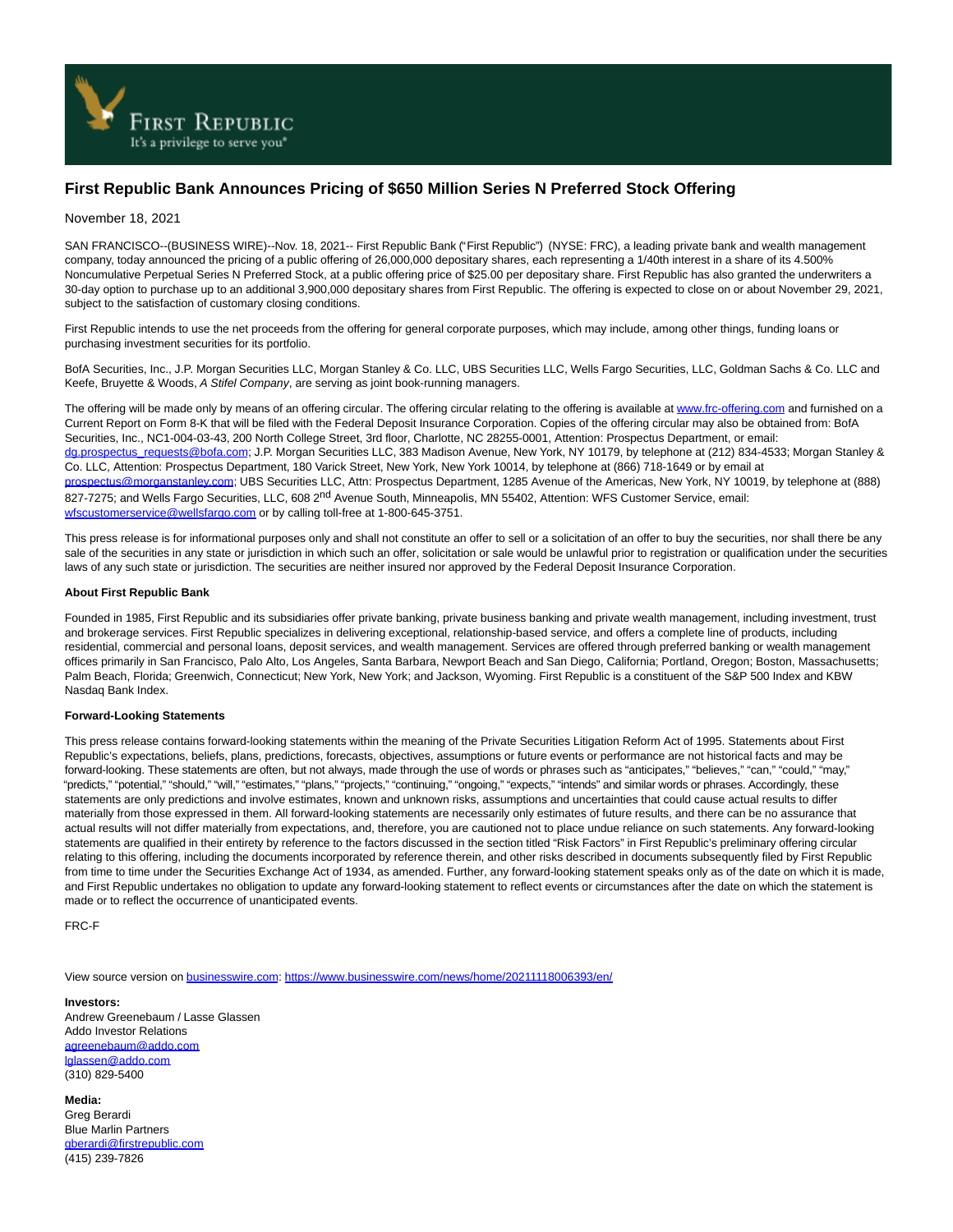

## **First Republic Bank Announces Pricing of \$650 Million Series N Preferred Stock Offering**

## November 18, 2021

SAN FRANCISCO--(BUSINESS WIRE)--Nov. 18, 2021-- First Republic Bank ("First Republic") (NYSE: FRC), a leading private bank and wealth management company, today announced the pricing of a public offering of 26,000,000 depositary shares, each representing a 1/40th interest in a share of its 4.500% Noncumulative Perpetual Series N Preferred Stock, at a public offering price of \$25.00 per depositary share. First Republic has also granted the underwriters a 30-day option to purchase up to an additional 3,900,000 depositary shares from First Republic. The offering is expected to close on or about November 29, 2021, subject to the satisfaction of customary closing conditions.

First Republic intends to use the net proceeds from the offering for general corporate purposes, which may include, among other things, funding loans or purchasing investment securities for its portfolio.

BofA Securities, Inc., J.P. Morgan Securities LLC, Morgan Stanley & Co. LLC, UBS Securities LLC, Wells Fargo Securities, LLC, Goldman Sachs & Co. LLC and Keefe, Bruyette & Woods, A Stifel Company, are serving as joint book-running managers.

The offering will be made only by means of an offering circular. The offering circular relating to the offering is available a[t www.frc-offering.com a](https://cts.businesswire.com/ct/CT?id=smartlink&url=http%3A%2F%2Fwww.frc-offering.com&esheet=52534771&newsitemid=20211118006393&lan=en-US&anchor=www.frc-offering.com&index=1&md5=d5bd659f3b2bd8ada3c89cea776097ac)nd furnished on a Current Report on Form 8-K that will be filed with the Federal Deposit Insurance Corporation. Copies of the offering circular may also be obtained from: BofA Securities, Inc., NC1-004-03-43, 200 North College Street, 3rd floor, Charlotte, NC 28255-0001, Attention: Prospectus Department, or email: [dg.prospectus\\_requests@bofa.com;](mailto:dg.prospectus_requests@bofa.com) J.P. Morgan Securities LLC, 383 Madison Avenue, New York, NY 10179, by telephone at (212) 834-4533; Morgan Stanley & Co. LLC, Attention: Prospectus Department, 180 Varick Street, New York, New York 10014, by telephone at (866) 718-1649 or by email at [prospectus@morganstanley.com;](mailto:prospectus@morganstanley.com) UBS Securities LLC, Attn: Prospectus Department, 1285 Avenue of the Americas, New York, NY 10019, by telephone at (888) 827-7275; and Wells Fargo Securities, LLC, 608 2<sup>nd</sup> Avenue South, Minneapolis, MN 55402, Attention: WFS Customer Service, email: [wfscustomerservice@wellsfargo.com o](mailto:wfscustomerservice@wellsfargo.com)r by calling toll-free at 1-800-645-3751.

This press release is for informational purposes only and shall not constitute an offer to sell or a solicitation of an offer to buy the securities, nor shall there be any sale of the securities in any state or jurisdiction in which such an offer, solicitation or sale would be unlawful prior to registration or qualification under the securities laws of any such state or jurisdiction. The securities are neither insured nor approved by the Federal Deposit Insurance Corporation.

## **About First Republic Bank**

Founded in 1985, First Republic and its subsidiaries offer private banking, private business banking and private wealth management, including investment, trust and brokerage services. First Republic specializes in delivering exceptional, relationship-based service, and offers a complete line of products, including residential, commercial and personal loans, deposit services, and wealth management. Services are offered through preferred banking or wealth management offices primarily in San Francisco, Palo Alto, Los Angeles, Santa Barbara, Newport Beach and San Diego, California; Portland, Oregon; Boston, Massachusetts; Palm Beach, Florida; Greenwich, Connecticut; New York, New York; and Jackson, Wyoming. First Republic is a constituent of the S&P 500 Index and KBW Nasdaq Bank Index.

## **Forward-Looking Statements**

This press release contains forward-looking statements within the meaning of the Private Securities Litigation Reform Act of 1995. Statements about First Republic's expectations, beliefs, plans, predictions, forecasts, objectives, assumptions or future events or performance are not historical facts and may be forward-looking. These statements are often, but not always, made through the use of words or phrases such as "anticipates," "believes," "can," "could," "may," "predicts," "potential," "should," "will," "estimates," "plans," "projects," "continuing," "ongoing," "expects," "intends" and similar words or phrases. Accordingly, these statements are only predictions and involve estimates, known and unknown risks, assumptions and uncertainties that could cause actual results to differ materially from those expressed in them. All forward-looking statements are necessarily only estimates of future results, and there can be no assurance that actual results will not differ materially from expectations, and, therefore, you are cautioned not to place undue reliance on such statements. Any forward-looking statements are qualified in their entirety by reference to the factors discussed in the section titled "Risk Factors" in First Republic's preliminary offering circular relating to this offering, including the documents incorporated by reference therein, and other risks described in documents subsequently filed by First Republic from time to time under the Securities Exchange Act of 1934, as amended. Further, any forward-looking statement speaks only as of the date on which it is made, and First Republic undertakes no obligation to update any forward-looking statement to reflect events or circumstances after the date on which the statement is made or to reflect the occurrence of unanticipated events.

FRC-F

View source version on [businesswire.com:](http://businesswire.com/)<https://www.businesswire.com/news/home/20211118006393/en/>

**Investors:** Andrew Greenebaum / Lasse Glassen Addo Investor Relations [agreenebaum@addo.com](mailto:agreenebaum@addo.com) [lglassen@addo.com](mailto:lglassen@addo.com) (310) 829-5400

**Media:** Greg Berardi Blue Marlin Partners [gberardi@firstrepublic.com](mailto:gberardi@firstrepublic.com) (415) 239-7826